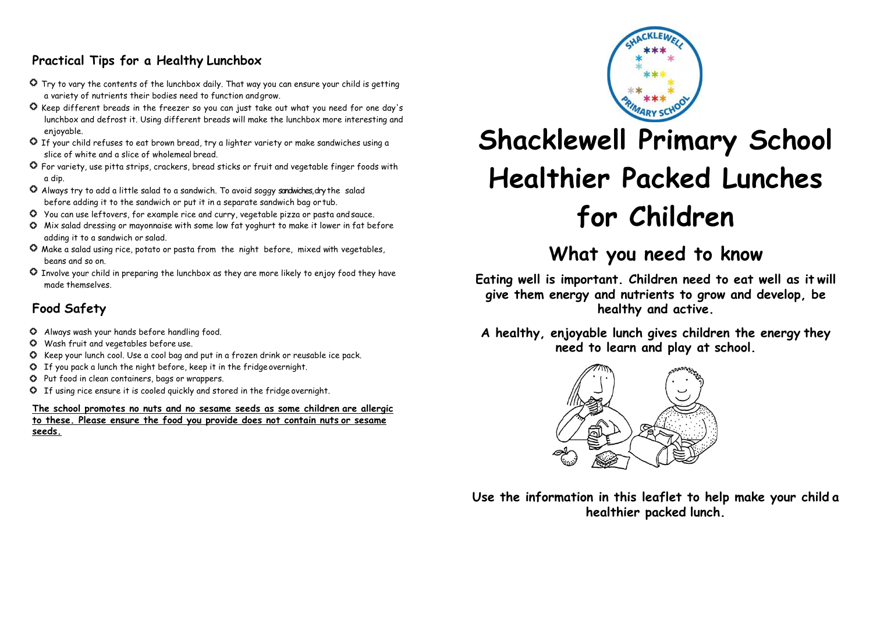# **Practical Tips for a Healthy Lunchbox**

- Try to vary the contents of the lunchbox daily. That way you can ensure your child is getting a variety of nutrients their bodies need to function andgrow.
- Keep different breads in the freezer so you can just take out what you need for one day's lunchbox and defrost it. Using different breads will make the lunchbox more interesting and enjoyable.
- If your child refuses to eat brown bread, try a lighter variety or make sandwiches using a slice of white and a slice of wholemeal bread.
- For variety, use pitta strips, crackers, bread sticks or fruit and vegetable finger foods with a dip.
- Always try to add a little salad to a sandwich. To avoid soggy sandwiches, dry the salad before adding it to the sandwich or put it in a separate sandwich bag or tub.
- You can use leftovers, for example rice and curry, vegetable pizza or pasta andsauce.
- Mix salad dressing or mayonnaise with some low fat yoghurt to make it lower in fat before adding it to a sandwich or salad.
- Make a salad using rice, potato or pasta from the night before, mixed with vegetables, beans and so on.
- Involve your child in preparing the lunchbox as they are more likely to enjoy food they have made themselves.

# **Food Safety**

- Always wash your hands before handling food.
- Wash fruit and vegetables before use.
- Keep your lunch cool. Use a cool bag and put in a frozen drink or reusable ice pack.
- If you pack a lunch the night before, keep it in the fridgeovernight.
- Put food in clean containers, bags or wrappers.
- If using rice ensure it is cooled quickly and stored in the fridge overnight.

**The school promotes no nuts and no sesame seeds as some children are allergic to these. Please ensure the food you provide does not contain nuts or sesame seeds.**



# **Shacklewell Primary School Healthier Packed Lunches for Children**

# **What you need to know**

**Eating well is important. Children need to eat well as it will give them energy and nutrients to grow and develop, be healthy and active.**

**A healthy, enjoyable lunch gives children the energy they need to learn and play at school.**



**Use the information in this leaflet to help make your child a healthier packed lunch.**